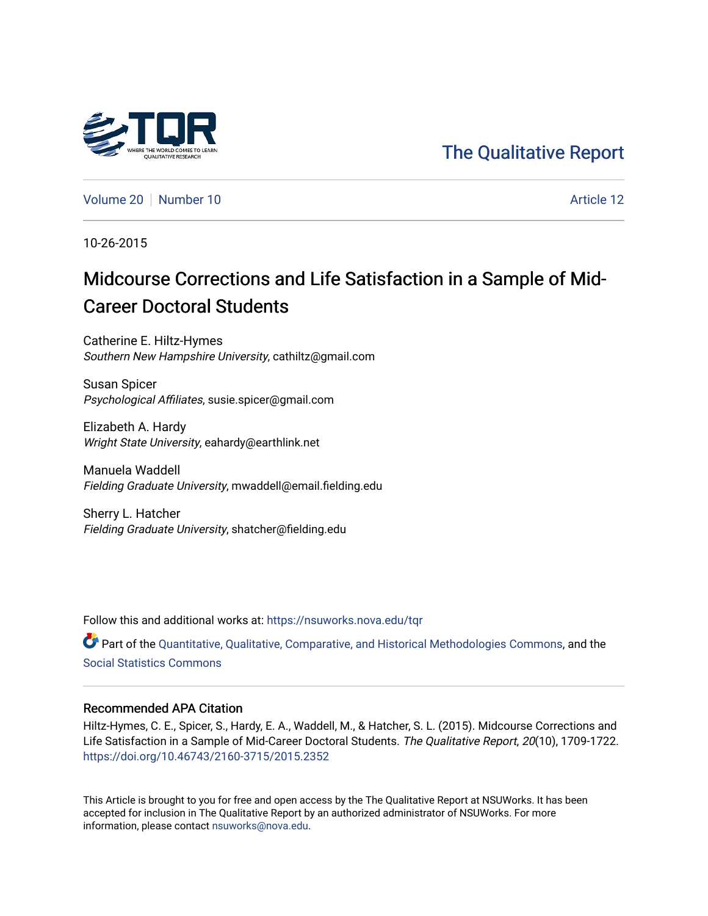

## [The Qualitative Report](https://nsuworks.nova.edu/tqr)

[Volume 20](https://nsuworks.nova.edu/tqr/vol20) [Number 10](https://nsuworks.nova.edu/tqr/vol20/iss10) **Article 12** Article 12

10-26-2015

# Midcourse Corrections and Life Satisfaction in a Sample of Mid-Career Doctoral Students

Catherine E. Hiltz-Hymes Southern New Hampshire University, cathiltz@gmail.com

Susan Spicer Psychological Affiliates, susie.spicer@gmail.com

Elizabeth A. Hardy Wright State University, eahardy@earthlink.net

Manuela Waddell Fielding Graduate University, mwaddell@email.fielding.edu

Sherry L. Hatcher Fielding Graduate University, shatcher@fielding.edu

Follow this and additional works at: [https://nsuworks.nova.edu/tqr](https://nsuworks.nova.edu/tqr?utm_source=nsuworks.nova.edu%2Ftqr%2Fvol20%2Fiss10%2F12&utm_medium=PDF&utm_campaign=PDFCoverPages) 

Part of the [Quantitative, Qualitative, Comparative, and Historical Methodologies Commons,](http://network.bepress.com/hgg/discipline/423?utm_source=nsuworks.nova.edu%2Ftqr%2Fvol20%2Fiss10%2F12&utm_medium=PDF&utm_campaign=PDFCoverPages) and the [Social Statistics Commons](http://network.bepress.com/hgg/discipline/1275?utm_source=nsuworks.nova.edu%2Ftqr%2Fvol20%2Fiss10%2F12&utm_medium=PDF&utm_campaign=PDFCoverPages) 

#### Recommended APA Citation

Hiltz-Hymes, C. E., Spicer, S., Hardy, E. A., Waddell, M., & Hatcher, S. L. (2015). Midcourse Corrections and Life Satisfaction in a Sample of Mid-Career Doctoral Students. The Qualitative Report, 20(10), 1709-1722. <https://doi.org/10.46743/2160-3715/2015.2352>

This Article is brought to you for free and open access by the The Qualitative Report at NSUWorks. It has been accepted for inclusion in The Qualitative Report by an authorized administrator of NSUWorks. For more information, please contact [nsuworks@nova.edu.](mailto:nsuworks@nova.edu)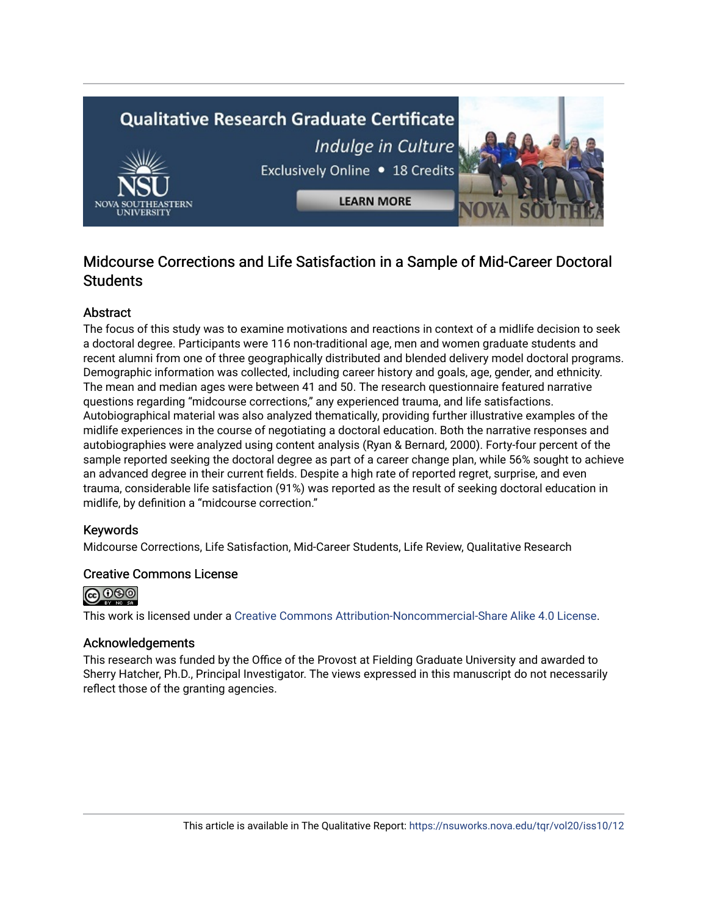# **Qualitative Research Graduate Certificate** Indulge in Culture Exclusively Online . 18 Credits **LEARN MORE**

### Midcourse Corrections and Life Satisfaction in a Sample of Mid-Career Doctoral **Students**

#### Abstract

The focus of this study was to examine motivations and reactions in context of a midlife decision to seek a doctoral degree. Participants were 116 non-traditional age, men and women graduate students and recent alumni from one of three geographically distributed and blended delivery model doctoral programs. Demographic information was collected, including career history and goals, age, gender, and ethnicity. The mean and median ages were between 41 and 50. The research questionnaire featured narrative questions regarding "midcourse corrections," any experienced trauma, and life satisfactions. Autobiographical material was also analyzed thematically, providing further illustrative examples of the midlife experiences in the course of negotiating a doctoral education. Both the narrative responses and autobiographies were analyzed using content analysis (Ryan & Bernard, 2000). Forty-four percent of the sample reported seeking the doctoral degree as part of a career change plan, while 56% sought to achieve an advanced degree in their current fields. Despite a high rate of reported regret, surprise, and even trauma, considerable life satisfaction (91%) was reported as the result of seeking doctoral education in midlife, by definition a "midcourse correction."

#### Keywords

Midcourse Corrections, Life Satisfaction, Mid-Career Students, Life Review, Qualitative Research

#### Creative Commons License



This work is licensed under a [Creative Commons Attribution-Noncommercial-Share Alike 4.0 License](https://creativecommons.org/licenses/by-nc-sa/4.0/).

#### Acknowledgements

This research was funded by the Office of the Provost at Fielding Graduate University and awarded to Sherry Hatcher, Ph.D., Principal Investigator. The views expressed in this manuscript do not necessarily reflect those of the granting agencies.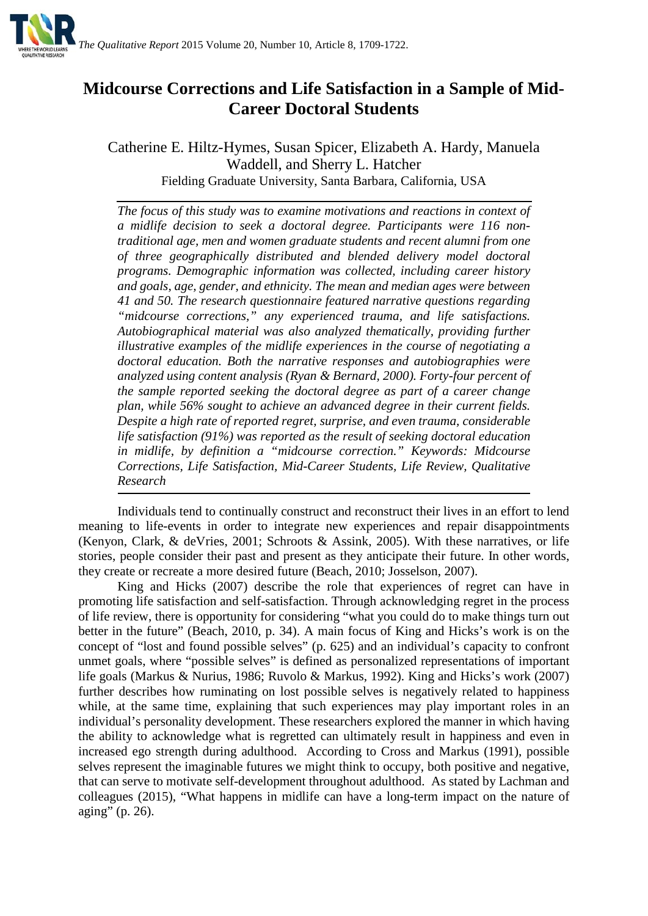

## **Midcourse Corrections and Life Satisfaction in a Sample of Mid-Career Doctoral Students**

Catherine E. Hiltz-Hymes, Susan Spicer, Elizabeth A. Hardy, Manuela Waddell, and Sherry L. Hatcher Fielding Graduate University, Santa Barbara, California, USA

*The focus of this study was to examine motivations and reactions in context of a midlife decision to seek a doctoral degree. Participants were 116 nontraditional age, men and women graduate students and recent alumni from one of three geographically distributed and blended delivery model doctoral programs. Demographic information was collected, including career history and goals, age, gender, and ethnicity. The mean and median ages were between 41 and 50. The research questionnaire featured narrative questions regarding "midcourse corrections," any experienced trauma, and life satisfactions. Autobiographical material was also analyzed thematically, providing further illustrative examples of the midlife experiences in the course of negotiating a doctoral education. Both the narrative responses and autobiographies were analyzed using content analysis (Ryan & Bernard, 2000). Forty-four percent of the sample reported seeking the doctoral degree as part of a career change plan, while 56% sought to achieve an advanced degree in their current fields. Despite a high rate of reported regret, surprise, and even trauma, considerable life satisfaction (91%) was reported as the result of seeking doctoral education in midlife, by definition a "midcourse correction." Keywords: Midcourse Corrections, Life Satisfaction, Mid-Career Students, Life Review, Qualitative Research*

Individuals tend to continually construct and reconstruct their lives in an effort to lend meaning to life-events in order to integrate new experiences and repair disappointments (Kenyon, Clark, & deVries, 2001; Schroots & Assink, 2005). With these narratives, or life stories, people consider their past and present as they anticipate their future. In other words, they create or recreate a more desired future (Beach, 2010; Josselson, 2007).

King and Hicks (2007) describe the role that experiences of regret can have in promoting life satisfaction and self-satisfaction. Through acknowledging regret in the process of life review, there is opportunity for considering "what you could do to make things turn out better in the future" (Beach, 2010, p. 34). A main focus of King and Hicks's work is on the concept of "lost and found possible selves" (p. 625) and an individual's capacity to confront unmet goals, where "possible selves" is defined as personalized representations of important life goals (Markus & Nurius, 1986; Ruvolo & Markus, 1992). King and Hicks's work (2007) further describes how ruminating on lost possible selves is negatively related to happiness while, at the same time, explaining that such experiences may play important roles in an individual's personality development. These researchers explored the manner in which having the ability to acknowledge what is regretted can ultimately result in happiness and even in increased ego strength during adulthood. According to Cross and Markus (1991), possible selves represent the imaginable futures we might think to occupy, both positive and negative, that can serve to motivate self-development throughout adulthood. As stated by Lachman and colleagues (2015), "What happens in midlife can have a long-term impact on the nature of aging" (p. 26).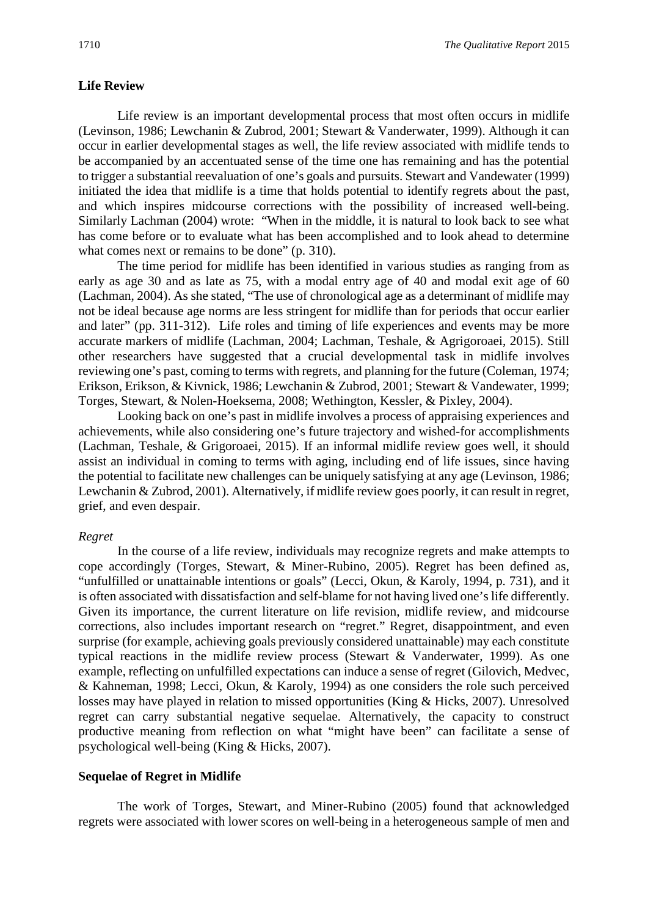#### **Life Review**

Life review is an important developmental process that most often occurs in midlife (Levinson, 1986; Lewchanin & Zubrod, 2001; Stewart & Vanderwater, 1999). Although it can occur in earlier developmental stages as well, the life review associated with midlife tends to be accompanied by an accentuated sense of the time one has remaining and has the potential to trigger a substantial reevaluation of one's goals and pursuits. Stewart and Vandewater (1999) initiated the idea that midlife is a time that holds potential to identify regrets about the past, and which inspires midcourse corrections with the possibility of increased well-being. Similarly Lachman (2004) wrote: "When in the middle, it is natural to look back to see what has come before or to evaluate what has been accomplished and to look ahead to determine what comes next or remains to be done" (p. 310).

The time period for midlife has been identified in various studies as ranging from as early as age 30 and as late as 75, with a modal entry age of 40 and modal exit age of 60 (Lachman, 2004). As she stated, "The use of chronological age as a determinant of midlife may not be ideal because age norms are less stringent for midlife than for periods that occur earlier and later" (pp. 311-312). Life roles and timing of life experiences and events may be more accurate markers of midlife (Lachman, 2004; Lachman, Teshale, & Agrigoroaei, 2015). Still other researchers have suggested that a crucial developmental task in midlife involves reviewing one's past, coming to terms with regrets, and planning for the future (Coleman, 1974; Erikson, Erikson, & Kivnick, 1986; Lewchanin & Zubrod, 2001; Stewart & Vandewater, 1999; Torges, Stewart, & Nolen-Hoeksema, 2008; Wethington, Kessler, & Pixley, 2004).

Looking back on one's past in midlife involves a process of appraising experiences and achievements, while also considering one's future trajectory and wished-for accomplishments (Lachman, Teshale, & Grigoroaei, 2015). If an informal midlife review goes well, it should assist an individual in coming to terms with aging, including end of life issues, since having the potential to facilitate new challenges can be uniquely satisfying at any age (Levinson, 1986; Lewchanin & Zubrod, 2001). Alternatively, if midlife review goes poorly, it can result in regret, grief, and even despair.

#### *Regret*

In the course of a life review, individuals may recognize regrets and make attempts to cope accordingly (Torges, Stewart, & Miner-Rubino, 2005). Regret has been defined as, "unfulfilled or unattainable intentions or goals" (Lecci, Okun, & Karoly, 1994, p. 731), and it is often associated with dissatisfaction and self-blame for not having lived one's life differently. Given its importance, the current literature on life revision, midlife review, and midcourse corrections, also includes important research on "regret." Regret, disappointment, and even surprise (for example, achieving goals previously considered unattainable) may each constitute typical reactions in the midlife review process (Stewart & Vanderwater, 1999). As one example, reflecting on unfulfilled expectations can induce a sense of regret (Gilovich, Medvec, & Kahneman, 1998; Lecci, Okun, & Karoly, 1994) as one considers the role such perceived losses may have played in relation to missed opportunities (King & Hicks, 2007). Unresolved regret can carry substantial negative sequelae. Alternatively, the capacity to construct productive meaning from reflection on what "might have been" can facilitate a sense of psychological well-being (King & Hicks, 2007).

#### **Sequelae of Regret in Midlife**

The work of Torges, Stewart, and Miner-Rubino (2005) found that acknowledged regrets were associated with lower scores on well-being in a heterogeneous sample of men and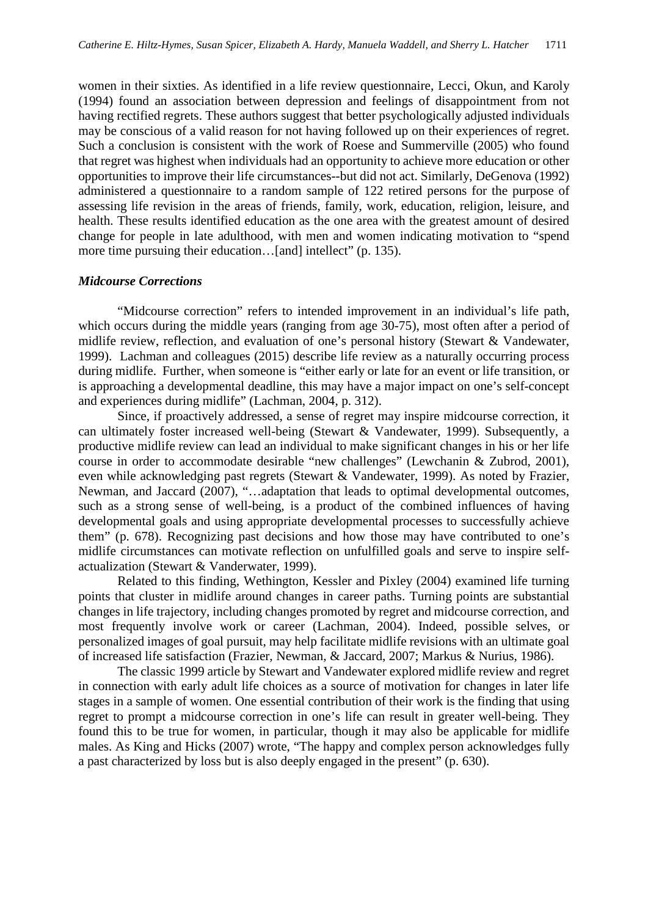women in their sixties. As identified in a life review questionnaire, Lecci, Okun, and Karoly (1994) found an association between depression and feelings of disappointment from not having rectified regrets. These authors suggest that better psychologically adjusted individuals may be conscious of a valid reason for not having followed up on their experiences of regret. Such a conclusion is consistent with the work of Roese and Summerville (2005) who found that regret was highest when individuals had an opportunity to achieve more education or other opportunities to improve their life circumstances--but did not act. Similarly, DeGenova (1992) administered a questionnaire to a random sample of 122 retired persons for the purpose of assessing life revision in the areas of friends, family, work, education, religion, leisure, and health. These results identified education as the one area with the greatest amount of desired change for people in late adulthood, with men and women indicating motivation to "spend more time pursuing their education...[and] intellect" (p. 135).

#### *Midcourse Corrections*

"Midcourse correction" refers to intended improvement in an individual's life path, which occurs during the middle years (ranging from age 30-75), most often after a period of midlife review, reflection, and evaluation of one's personal history (Stewart & Vandewater, 1999). Lachman and colleagues (2015) describe life review as a naturally occurring process during midlife. Further, when someone is "either early or late for an event or life transition, or is approaching a developmental deadline, this may have a major impact on one's self-concept and experiences during midlife" (Lachman, 2004, p. 312).

Since, if proactively addressed, a sense of regret may inspire midcourse correction, it can ultimately foster increased well-being (Stewart & Vandewater, 1999). Subsequently, a productive midlife review can lead an individual to make significant changes in his or her life course in order to accommodate desirable "new challenges" (Lewchanin & Zubrod, 2001), even while acknowledging past regrets (Stewart & Vandewater, 1999). As noted by Frazier, Newman, and Jaccard (2007), "…adaptation that leads to optimal developmental outcomes, such as a strong sense of well-being, is a product of the combined influences of having developmental goals and using appropriate developmental processes to successfully achieve them" (p. 678). Recognizing past decisions and how those may have contributed to one's midlife circumstances can motivate reflection on unfulfilled goals and serve to inspire selfactualization (Stewart & Vanderwater, 1999).

Related to this finding, Wethington, Kessler and Pixley (2004) examined life turning points that cluster in midlife around changes in career paths. Turning points are substantial changes in life trajectory, including changes promoted by regret and midcourse correction, and most frequently involve work or career (Lachman, 2004). Indeed, possible selves, or personalized images of goal pursuit, may help facilitate midlife revisions with an ultimate goal of increased life satisfaction (Frazier, Newman, & Jaccard, 2007; Markus & Nurius, 1986).

The classic 1999 article by Stewart and Vandewater explored midlife review and regret in connection with early adult life choices as a source of motivation for changes in later life stages in a sample of women. One essential contribution of their work is the finding that using regret to prompt a midcourse correction in one's life can result in greater well-being. They found this to be true for women, in particular, though it may also be applicable for midlife males. As King and Hicks (2007) wrote, "The happy and complex person acknowledges fully a past characterized by loss but is also deeply engaged in the present" (p. 630).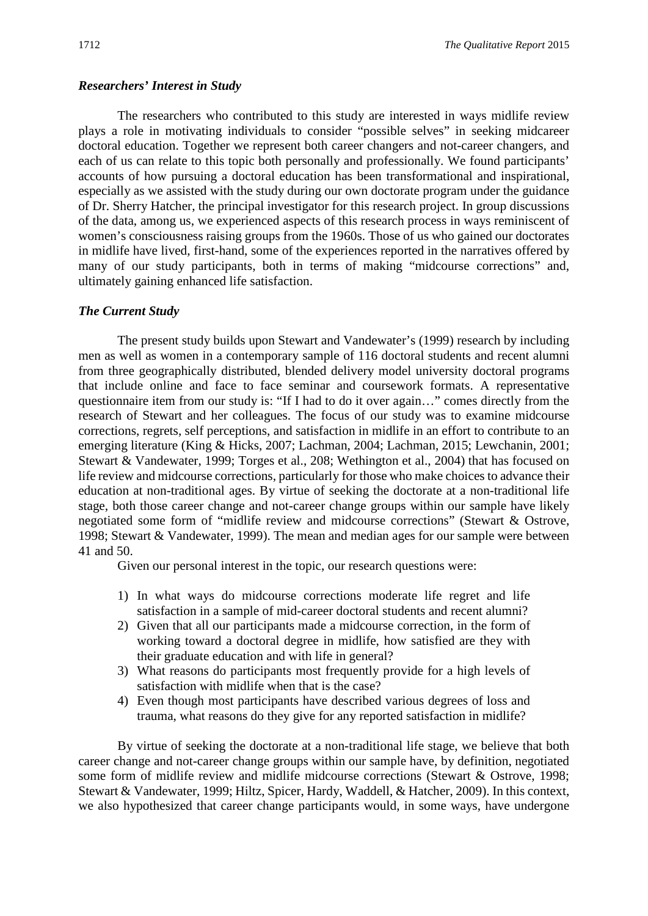#### *Researchers' Interest in Study*

The researchers who contributed to this study are interested in ways midlife review plays a role in motivating individuals to consider "possible selves" in seeking midcareer doctoral education. Together we represent both career changers and not-career changers, and each of us can relate to this topic both personally and professionally. We found participants' accounts of how pursuing a doctoral education has been transformational and inspirational, especially as we assisted with the study during our own doctorate program under the guidance of Dr. Sherry Hatcher, the principal investigator for this research project. In group discussions of the data, among us, we experienced aspects of this research process in ways reminiscent of women's consciousness raising groups from the 1960s. Those of us who gained our doctorates in midlife have lived, first-hand, some of the experiences reported in the narratives offered by many of our study participants, both in terms of making "midcourse corrections" and,

#### *The Current Study*

ultimately gaining enhanced life satisfaction.

The present study builds upon Stewart and Vandewater's (1999) research by including men as well as women in a contemporary sample of 116 doctoral students and recent alumni from three geographically distributed, blended delivery model university doctoral programs that include online and face to face seminar and coursework formats. A representative questionnaire item from our study is: "If I had to do it over again…" comes directly from the research of Stewart and her colleagues. The focus of our study was to examine midcourse corrections, regrets, self perceptions, and satisfaction in midlife in an effort to contribute to an emerging literature (King & Hicks, 2007; Lachman, 2004; Lachman, 2015; Lewchanin, 2001; Stewart & Vandewater, 1999; Torges et al., 208; Wethington et al., 2004) that has focused on life review and midcourse corrections, particularly for those who make choices to advance their education at non-traditional ages. By virtue of seeking the doctorate at a non-traditional life stage, both those career change and not-career change groups within our sample have likely negotiated some form of "midlife review and midcourse corrections" (Stewart & Ostrove, 1998; Stewart & Vandewater, 1999). The mean and median ages for our sample were between 41 and 50.

Given our personal interest in the topic, our research questions were:

- 1) In what ways do midcourse corrections moderate life regret and life satisfaction in a sample of mid-career doctoral students and recent alumni?
- 2) Given that all our participants made a midcourse correction, in the form of working toward a doctoral degree in midlife, how satisfied are they with their graduate education and with life in general?
- 3) What reasons do participants most frequently provide for a high levels of satisfaction with midlife when that is the case?
- 4) Even though most participants have described various degrees of loss and trauma, what reasons do they give for any reported satisfaction in midlife?

By virtue of seeking the doctorate at a non-traditional life stage, we believe that both career change and not-career change groups within our sample have, by definition, negotiated some form of midlife review and midlife midcourse corrections (Stewart & Ostrove, 1998; Stewart & Vandewater, 1999; Hiltz, Spicer, Hardy, Waddell, & Hatcher, 2009). In this context, we also hypothesized that career change participants would, in some ways, have undergone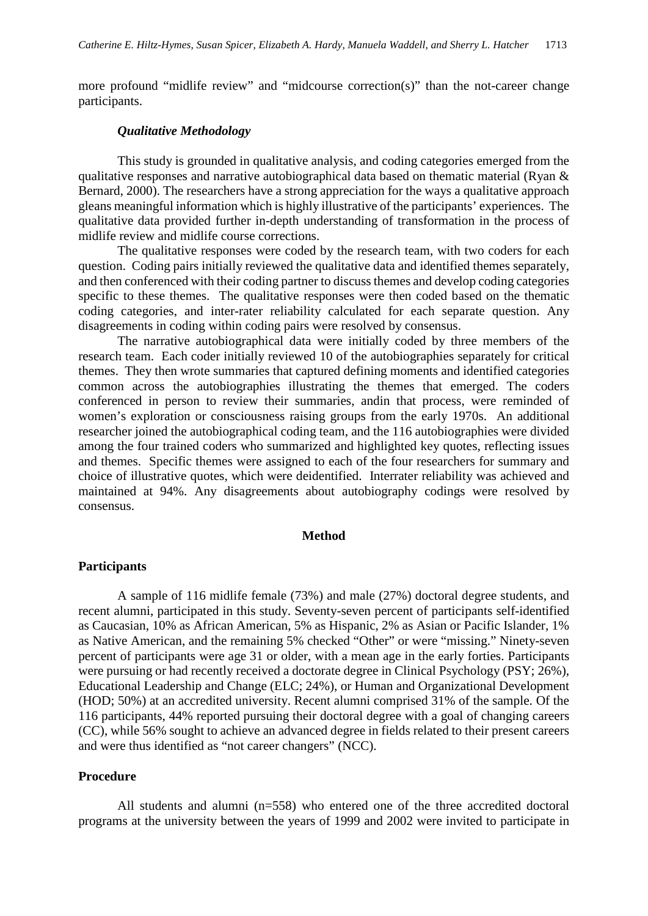more profound "midlife review" and "midcourse correction(s)" than the not-career change participants.

#### *Qualitative Methodology*

This study is grounded in qualitative analysis, and coding categories emerged from the qualitative responses and narrative autobiographical data based on thematic material (Ryan & Bernard, 2000). The researchers have a strong appreciation for the ways a qualitative approach gleans meaningful information which is highly illustrative of the participants' experiences. The qualitative data provided further in-depth understanding of transformation in the process of midlife review and midlife course corrections.

The qualitative responses were coded by the research team, with two coders for each question. Coding pairs initially reviewed the qualitative data and identified themes separately, and then conferenced with their coding partner to discuss themes and develop coding categories specific to these themes. The qualitative responses were then coded based on the thematic coding categories, and inter-rater reliability calculated for each separate question. Any disagreements in coding within coding pairs were resolved by consensus.

The narrative autobiographical data were initially coded by three members of the research team. Each coder initially reviewed 10 of the autobiographies separately for critical themes. They then wrote summaries that captured defining moments and identified categories common across the autobiographies illustrating the themes that emerged. The coders conferenced in person to review their summaries, andin that process, were reminded of women's exploration or consciousness raising groups from the early 1970s. An additional researcher joined the autobiographical coding team, and the 116 autobiographies were divided among the four trained coders who summarized and highlighted key quotes, reflecting issues and themes. Specific themes were assigned to each of the four researchers for summary and choice of illustrative quotes, which were deidentified. Interrater reliability was achieved and maintained at 94%. Any disagreements about autobiography codings were resolved by consensus.

#### **Method**

#### **Participants**

A sample of 116 midlife female (73%) and male (27%) doctoral degree students, and recent alumni, participated in this study. Seventy-seven percent of participants self-identified as Caucasian, 10% as African American, 5% as Hispanic, 2% as Asian or Pacific Islander, 1% as Native American, and the remaining 5% checked "Other" or were "missing." Ninety-seven percent of participants were age 31 or older, with a mean age in the early forties. Participants were pursuing or had recently received a doctorate degree in Clinical Psychology (PSY; 26%), Educational Leadership and Change (ELC; 24%), or Human and Organizational Development (HOD; 50%) at an accredited university. Recent alumni comprised 31% of the sample. Of the 116 participants, 44% reported pursuing their doctoral degree with a goal of changing careers (CC), while 56% sought to achieve an advanced degree in fields related to their present careers and were thus identified as "not career changers" (NCC).

#### **Procedure**

All students and alumni (n=558) who entered one of the three accredited doctoral programs at the university between the years of 1999 and 2002 were invited to participate in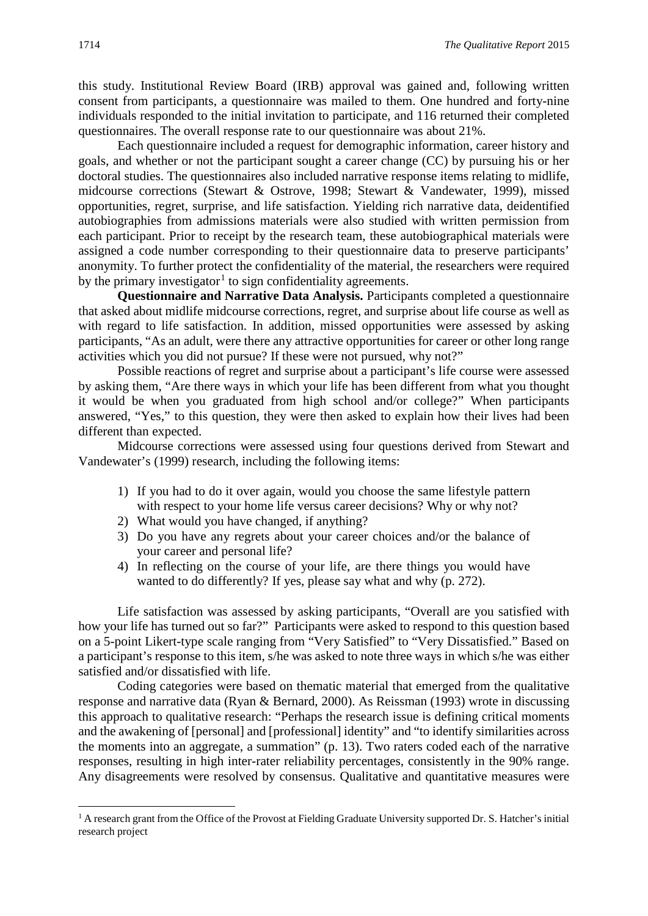this study. Institutional Review Board (IRB) approval was gained and, following written consent from participants, a questionnaire was mailed to them. One hundred and forty-nine individuals responded to the initial invitation to participate, and 116 returned their completed questionnaires. The overall response rate to our questionnaire was about 21%.

Each questionnaire included a request for demographic information, career history and goals, and whether or not the participant sought a career change (CC) by pursuing his or her doctoral studies. The questionnaires also included narrative response items relating to midlife, midcourse corrections (Stewart & Ostrove, 1998; Stewart & Vandewater, 1999), missed opportunities, regret, surprise, and life satisfaction. Yielding rich narrative data, deidentified autobiographies from admissions materials were also studied with written permission from each participant. Prior to receipt by the research team, these autobiographical materials were assigned a code number corresponding to their questionnaire data to preserve participants' anonymity. To further protect the confidentiality of the material, the researchers were required by the primary investigator<sup>[1](#page-7-0)</sup> to sign confidentiality agreements.

**Questionnaire and Narrative Data Analysis.** Participants completed a questionnaire that asked about midlife midcourse corrections, regret, and surprise about life course as well as with regard to life satisfaction. In addition, missed opportunities were assessed by asking participants, "As an adult, were there any attractive opportunities for career or other long range activities which you did not pursue? If these were not pursued, why not?"

Possible reactions of regret and surprise about a participant's life course were assessed by asking them, "Are there ways in which your life has been different from what you thought it would be when you graduated from high school and/or college?" When participants answered, "Yes," to this question, they were then asked to explain how their lives had been different than expected.

Midcourse corrections were assessed using four questions derived from Stewart and Vandewater's (1999) research, including the following items:

- 1) If you had to do it over again, would you choose the same lifestyle pattern with respect to your home life versus career decisions? Why or why not?
- 2) What would you have changed, if anything?
- 3) Do you have any regrets about your career choices and/or the balance of your career and personal life?
- 4) In reflecting on the course of your life, are there things you would have wanted to do differently? If yes, please say what and why (p. 272).

Life satisfaction was assessed by asking participants, "Overall are you satisfied with how your life has turned out so far?" Participants were asked to respond to this question based on a 5-point Likert-type scale ranging from "Very Satisfied" to "Very Dissatisfied." Based on a participant's response to this item, s/he was asked to note three ways in which s/he was either satisfied and/or dissatisfied with life.

Coding categories were based on thematic material that emerged from the qualitative response and narrative data (Ryan & Bernard, 2000). As Reissman (1993) wrote in discussing this approach to qualitative research: "Perhaps the research issue is defining critical moments and the awakening of [personal] and [professional] identity" and "to identify similarities across the moments into an aggregate, a summation" (p. 13). Two raters coded each of the narrative responses, resulting in high inter-rater reliability percentages, consistently in the 90% range. Any disagreements were resolved by consensus. Qualitative and quantitative measures were

<u>.</u>

<span id="page-7-0"></span><sup>&</sup>lt;sup>1</sup> A research grant from the Office of the Provost at Fielding Graduate University supported Dr. S. Hatcher's initial research project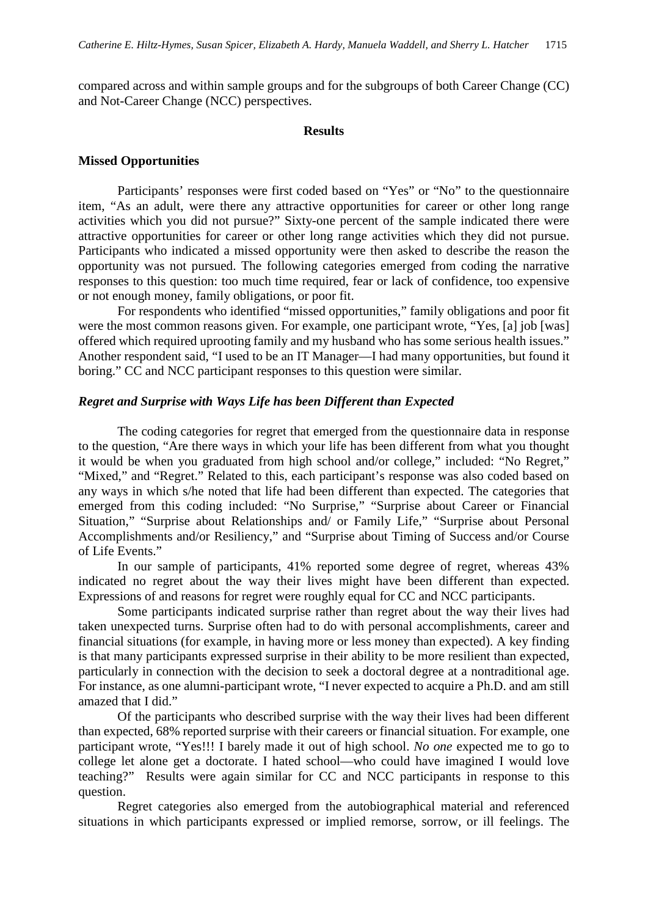compared across and within sample groups and for the subgroups of both Career Change (CC) and Not-Career Change (NCC) perspectives.

#### **Results**

#### **Missed Opportunities**

Participants' responses were first coded based on "Yes" or "No" to the questionnaire item, "As an adult, were there any attractive opportunities for career or other long range activities which you did not pursue?" Sixty-one percent of the sample indicated there were attractive opportunities for career or other long range activities which they did not pursue. Participants who indicated a missed opportunity were then asked to describe the reason the opportunity was not pursued. The following categories emerged from coding the narrative responses to this question: too much time required, fear or lack of confidence, too expensive or not enough money, family obligations, or poor fit.

For respondents who identified "missed opportunities," family obligations and poor fit were the most common reasons given. For example, one participant wrote, "Yes, [a] job [was] offered which required uprooting family and my husband who has some serious health issues." Another respondent said, "I used to be an IT Manager—I had many opportunities, but found it boring." CC and NCC participant responses to this question were similar.

#### *Regret and Surprise with Ways Life has been Different than Expected*

The coding categories for regret that emerged from the questionnaire data in response to the question, "Are there ways in which your life has been different from what you thought it would be when you graduated from high school and/or college," included: "No Regret," "Mixed," and "Regret." Related to this, each participant's response was also coded based on any ways in which s/he noted that life had been different than expected. The categories that emerged from this coding included: "No Surprise," "Surprise about Career or Financial Situation," "Surprise about Relationships and/ or Family Life," "Surprise about Personal Accomplishments and/or Resiliency," and "Surprise about Timing of Success and/or Course of Life Events."

In our sample of participants, 41% reported some degree of regret, whereas 43% indicated no regret about the way their lives might have been different than expected. Expressions of and reasons for regret were roughly equal for CC and NCC participants.

Some participants indicated surprise rather than regret about the way their lives had taken unexpected turns. Surprise often had to do with personal accomplishments, career and financial situations (for example, in having more or less money than expected). A key finding is that many participants expressed surprise in their ability to be more resilient than expected, particularly in connection with the decision to seek a doctoral degree at a nontraditional age. For instance, as one alumni-participant wrote, "I never expected to acquire a Ph.D. and am still amazed that I did."

Of the participants who described surprise with the way their lives had been different than expected, 68% reported surprise with their careers or financial situation. For example, one participant wrote, "Yes!!! I barely made it out of high school. *No one* expected me to go to college let alone get a doctorate. I hated school—who could have imagined I would love teaching?" Results were again similar for CC and NCC participants in response to this question.

Regret categories also emerged from the autobiographical material and referenced situations in which participants expressed or implied remorse, sorrow, or ill feelings. The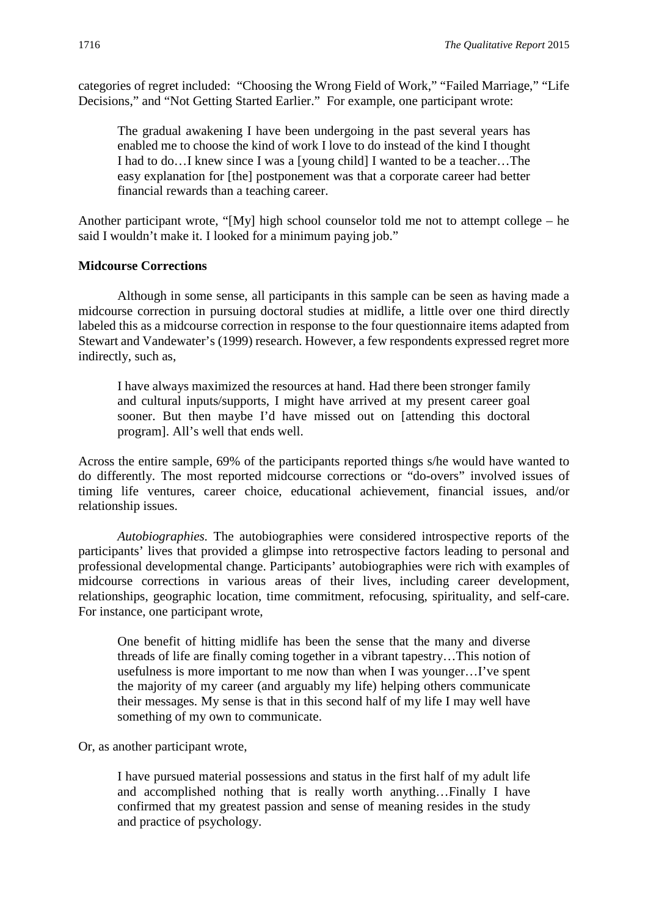categories of regret included: "Choosing the Wrong Field of Work," "Failed Marriage," "Life Decisions," and "Not Getting Started Earlier." For example, one participant wrote:

The gradual awakening I have been undergoing in the past several years has enabled me to choose the kind of work I love to do instead of the kind I thought I had to do…I knew since I was a [young child] I wanted to be a teacher…The easy explanation for [the] postponement was that a corporate career had better financial rewards than a teaching career.

Another participant wrote, "[My] high school counselor told me not to attempt college – he said I wouldn't make it. I looked for a minimum paying job."

#### **Midcourse Corrections**

Although in some sense, all participants in this sample can be seen as having made a midcourse correction in pursuing doctoral studies at midlife, a little over one third directly labeled this as a midcourse correction in response to the four questionnaire items adapted from Stewart and Vandewater's (1999) research. However, a few respondents expressed regret more indirectly, such as,

I have always maximized the resources at hand. Had there been stronger family and cultural inputs/supports, I might have arrived at my present career goal sooner. But then maybe I'd have missed out on [attending this doctoral program]. All's well that ends well.

Across the entire sample, 69% of the participants reported things s/he would have wanted to do differently. The most reported midcourse corrections or "do-overs" involved issues of timing life ventures, career choice, educational achievement, financial issues, and/or relationship issues.

*Autobiographies.* The autobiographies were considered introspective reports of the participants' lives that provided a glimpse into retrospective factors leading to personal and professional developmental change. Participants' autobiographies were rich with examples of midcourse corrections in various areas of their lives, including career development, relationships, geographic location, time commitment, refocusing, spirituality, and self-care. For instance, one participant wrote,

One benefit of hitting midlife has been the sense that the many and diverse threads of life are finally coming together in a vibrant tapestry…This notion of usefulness is more important to me now than when I was younger…I've spent the majority of my career (and arguably my life) helping others communicate their messages. My sense is that in this second half of my life I may well have something of my own to communicate.

Or, as another participant wrote,

I have pursued material possessions and status in the first half of my adult life and accomplished nothing that is really worth anything…Finally I have confirmed that my greatest passion and sense of meaning resides in the study and practice of psychology.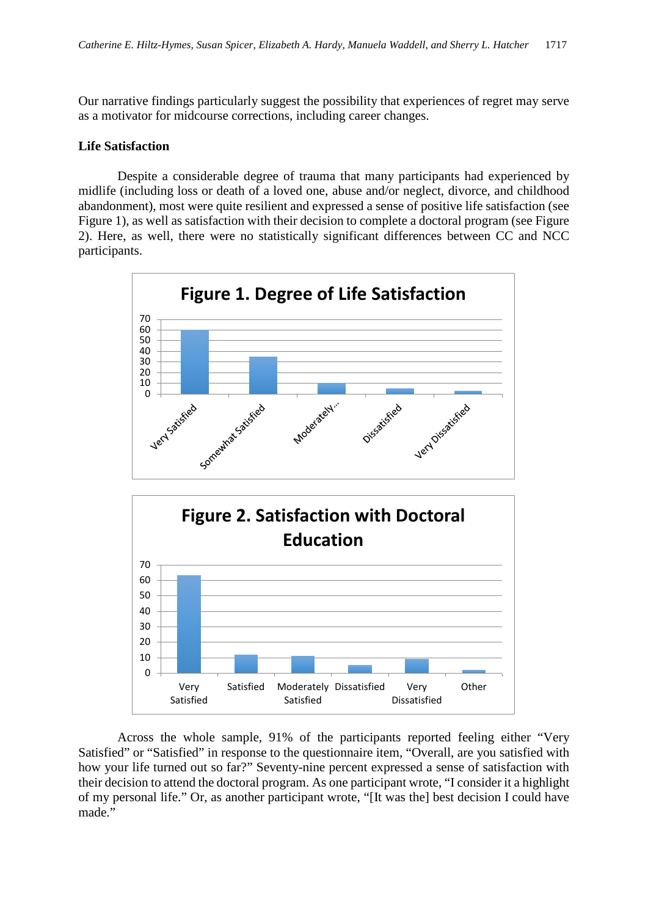Our narrative findings particularly suggest the possibility that experiences of regret may serve as a motivator for midcourse corrections, including career changes.

#### **Life Satisfaction**

Despite a considerable degree of trauma that many participants had experienced by midlife (including loss or death of a loved one, abuse and/or neglect, divorce, and childhood abandonment), most were quite resilient and expressed a sense of positive life satisfaction (see Figure 1), as well as satisfaction with their decision to complete a doctoral program (see Figure 2). Here, as well, there were no statistically significant differences between CC and NCC participants.





Across the whole sample, 91% of the participants reported feeling either "Very Satisfied" or "Satisfied" in response to the questionnaire item, "Overall, are you satisfied with how your life turned out so far?" Seventy-nine percent expressed a sense of satisfaction with their decision to attend the doctoral program. As one participant wrote, "I consider it a highlight of my personal life." Or, as another participant wrote, "[It was the] best decision I could have made."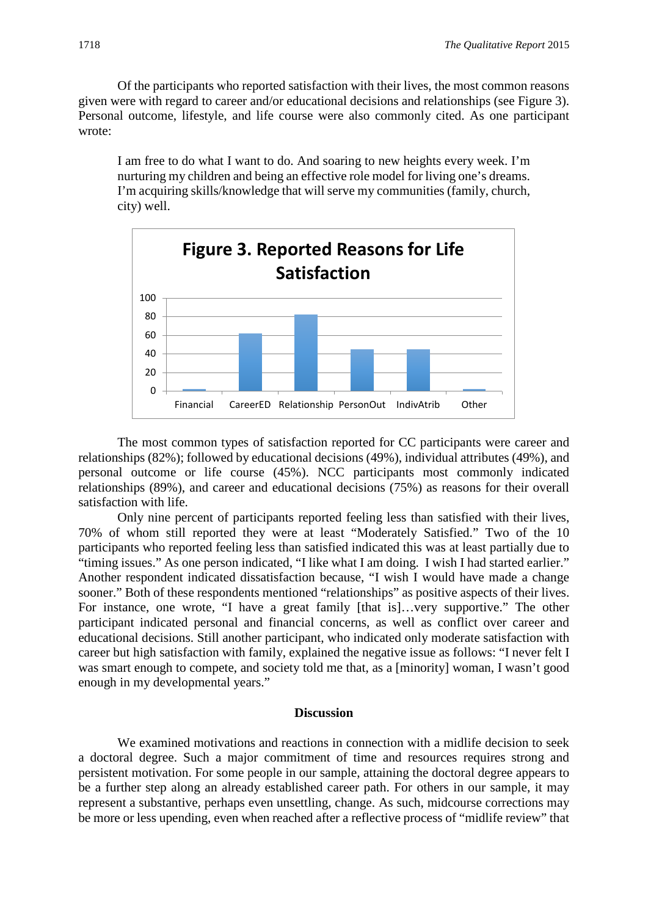Of the participants who reported satisfaction with their lives, the most common reasons given were with regard to career and/or educational decisions and relationships (see Figure 3). Personal outcome, lifestyle, and life course were also commonly cited. As one participant wrote:

I am free to do what I want to do. And soaring to new heights every week. I'm nurturing my children and being an effective role model for living one's dreams. I'm acquiring skills/knowledge that will serve my communities (family, church, city) well.



The most common types of satisfaction reported for CC participants were career and relationships (82%); followed by educational decisions (49%), individual attributes (49%), and personal outcome or life course (45%). NCC participants most commonly indicated relationships (89%), and career and educational decisions (75%) as reasons for their overall satisfaction with life.

Only nine percent of participants reported feeling less than satisfied with their lives, 70% of whom still reported they were at least "Moderately Satisfied." Two of the 10 participants who reported feeling less than satisfied indicated this was at least partially due to "timing issues." As one person indicated, "I like what I am doing. I wish I had started earlier." Another respondent indicated dissatisfaction because, "I wish I would have made a change sooner." Both of these respondents mentioned "relationships" as positive aspects of their lives. For instance, one wrote, "I have a great family [that is]…very supportive." The other participant indicated personal and financial concerns, as well as conflict over career and educational decisions. Still another participant, who indicated only moderate satisfaction with career but high satisfaction with family, explained the negative issue as follows: "I never felt I was smart enough to compete, and society told me that, as a [minority] woman, I wasn't good enough in my developmental years."

#### **Discussion**

We examined motivations and reactions in connection with a midlife decision to seek a doctoral degree. Such a major commitment of time and resources requires strong and persistent motivation. For some people in our sample, attaining the doctoral degree appears to be a further step along an already established career path. For others in our sample, it may represent a substantive, perhaps even unsettling, change. As such, midcourse corrections may be more or less upending, even when reached after a reflective process of "midlife review" that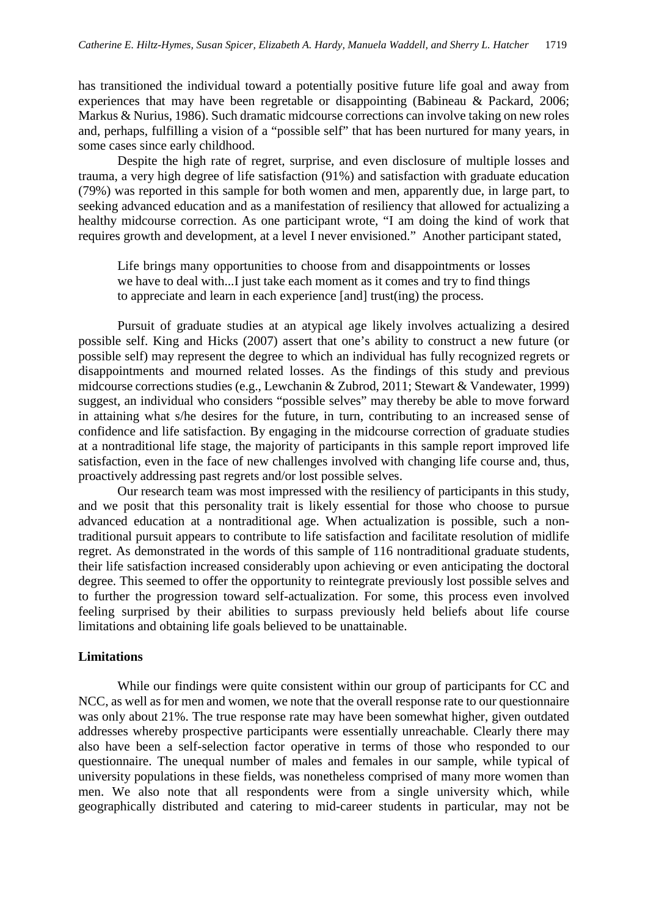has transitioned the individual toward a potentially positive future life goal and away from experiences that may have been regretable or disappointing (Babineau & Packard, 2006; Markus & Nurius, 1986). Such dramatic midcourse corrections can involve taking on new roles and, perhaps, fulfilling a vision of a "possible self" that has been nurtured for many years, in some cases since early childhood.

Despite the high rate of regret, surprise, and even disclosure of multiple losses and trauma, a very high degree of life satisfaction (91%) and satisfaction with graduate education (79%) was reported in this sample for both women and men, apparently due, in large part, to seeking advanced education and as a manifestation of resiliency that allowed for actualizing a healthy midcourse correction. As one participant wrote, "I am doing the kind of work that requires growth and development, at a level I never envisioned."Another participant stated,

Life brings many opportunities to choose from and disappointments or losses we have to deal with...I just take each moment as it comes and try to find things to appreciate and learn in each experience [and] trust(ing) the process.

Pursuit of graduate studies at an atypical age likely involves actualizing a desired possible self. King and Hicks (2007) assert that one's ability to construct a new future (or possible self) may represent the degree to which an individual has fully recognized regrets or disappointments and mourned related losses. As the findings of this study and previous midcourse corrections studies (e.g., Lewchanin & Zubrod, 2011; Stewart & Vandewater, 1999) suggest, an individual who considers "possible selves" may thereby be able to move forward in attaining what s/he desires for the future, in turn, contributing to an increased sense of confidence and life satisfaction. By engaging in the midcourse correction of graduate studies at a nontraditional life stage, the majority of participants in this sample report improved life satisfaction, even in the face of new challenges involved with changing life course and, thus, proactively addressing past regrets and/or lost possible selves.

Our research team was most impressed with the resiliency of participants in this study, and we posit that this personality trait is likely essential for those who choose to pursue advanced education at a nontraditional age. When actualization is possible, such a nontraditional pursuit appears to contribute to life satisfaction and facilitate resolution of midlife regret. As demonstrated in the words of this sample of 116 nontraditional graduate students, their life satisfaction increased considerably upon achieving or even anticipating the doctoral degree. This seemed to offer the opportunity to reintegrate previously lost possible selves and to further the progression toward self-actualization. For some, this process even involved feeling surprised by their abilities to surpass previously held beliefs about life course limitations and obtaining life goals believed to be unattainable.

#### **Limitations**

While our findings were quite consistent within our group of participants for CC and NCC, as well as for men and women, we note that the overall response rate to our questionnaire was only about 21%. The true response rate may have been somewhat higher, given outdated addresses whereby prospective participants were essentially unreachable. Clearly there may also have been a self-selection factor operative in terms of those who responded to our questionnaire. The unequal number of males and females in our sample, while typical of university populations in these fields, was nonetheless comprised of many more women than men. We also note that all respondents were from a single university which, while geographically distributed and catering to mid-career students in particular, may not be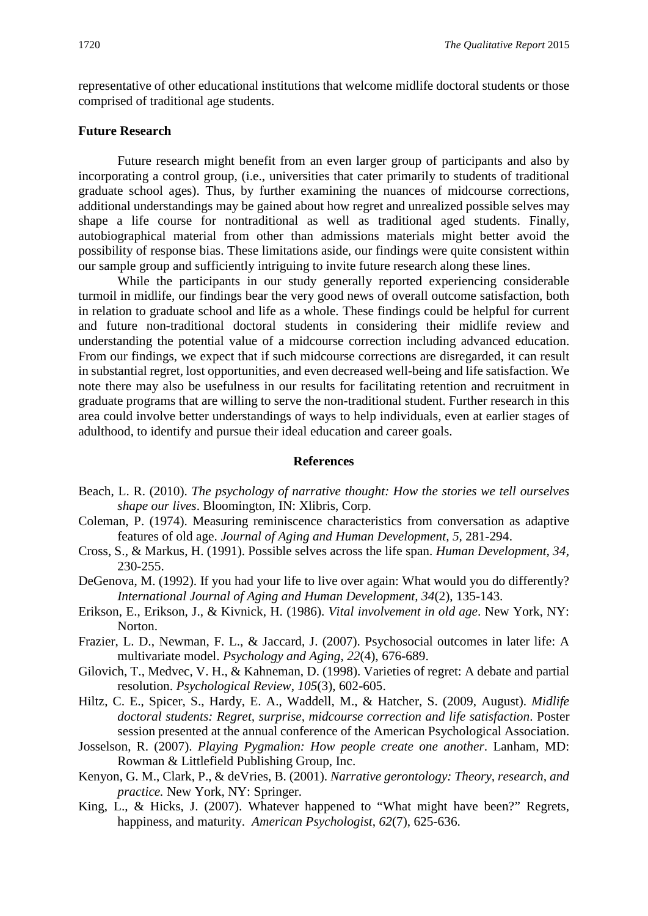representative of other educational institutions that welcome midlife doctoral students or those comprised of traditional age students.

#### **Future Research**

Future research might benefit from an even larger group of participants and also by incorporating a control group, (i.e., universities that cater primarily to students of traditional graduate school ages). Thus, by further examining the nuances of midcourse corrections, additional understandings may be gained about how regret and unrealized possible selves may shape a life course for nontraditional as well as traditional aged students. Finally, autobiographical material from other than admissions materials might better avoid the possibility of response bias. These limitations aside, our findings were quite consistent within our sample group and sufficiently intriguing to invite future research along these lines.

While the participants in our study generally reported experiencing considerable turmoil in midlife, our findings bear the very good news of overall outcome satisfaction, both in relation to graduate school and life as a whole. These findings could be helpful for current and future non-traditional doctoral students in considering their midlife review and understanding the potential value of a midcourse correction including advanced education. From our findings, we expect that if such midcourse corrections are disregarded, it can result in substantial regret, lost opportunities, and even decreased well-being and life satisfaction. We note there may also be usefulness in our results for facilitating retention and recruitment in graduate programs that are willing to serve the non-traditional student. Further research in this area could involve better understandings of ways to help individuals, even at earlier stages of adulthood, to identify and pursue their ideal education and career goals.

#### **References**

- Beach, L. R. (2010). *The psychology of narrative thought: How the stories we tell ourselves shape our lives*. Bloomington, IN: Xlibris, Corp.
- Coleman, P. (1974). Measuring reminiscence characteristics from conversation as adaptive features of old age. *Journal of Aging and Human Development, 5,* 281-294.
- Cross, S., & Markus, H. (1991). Possible selves across the life span. *Human Development, 34,*  230-255.
- DeGenova, M. (1992). If you had your life to live over again: What would you do differently? *International Journal of Aging and Human Development, 34*(2), 135-143.
- Erikson, E., Erikson, J., & Kivnick, H. (1986). *Vital involvement in old age*. New York, NY: Norton.
- Frazier, L. D., Newman, F. L., & Jaccard, J. (2007). Psychosocial outcomes in later life: A multivariate model. *Psychology and Aging*, *22*(4), 676-689.
- Gilovich, T., Medvec, V. H., & Kahneman, D. (1998). Varieties of regret: A debate and partial resolution. *Psychological Review*, *105*(3), 602-605.
- Hiltz, C. E., Spicer, S., Hardy, E. A., Waddell, M., & Hatcher, S. (2009, August). *Midlife doctoral students: Regret, surprise, midcourse correction and life satisfaction*. Poster session presented at the annual conference of the American Psychological Association.
- Josselson, R. (2007). *Playing Pygmalion: How people create one another*. Lanham, MD: Rowman & Littlefield Publishing Group, Inc.
- Kenyon, G. M., Clark, P., & deVries, B. (2001). *Narrative gerontology: Theory, research, and practice.* New York, NY: Springer.
- King, L., & Hicks, J. (2007). Whatever happened to "What might have been?" Regrets, happiness, and maturity. *American Psychologist*, *62*(7), 625-636.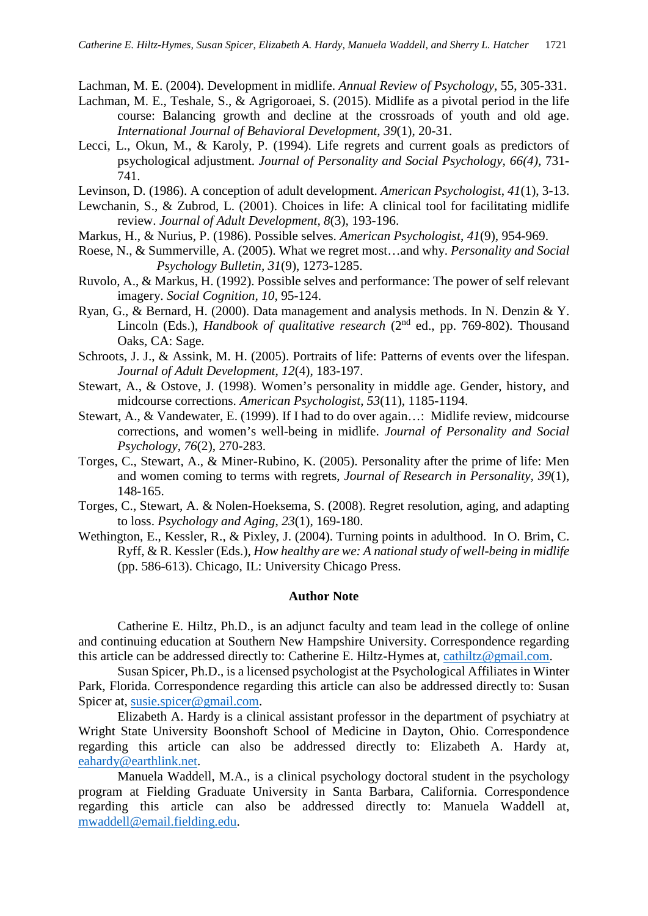Lachman, M. E. (2004). Development in midlife. *Annual Review of Psychology*, 55, 305-331.

- Lachman, M. E., Teshale, S., & Agrigoroaei, S. (2015). Midlife as a pivotal period in the life course: Balancing growth and decline at the crossroads of youth and old age. *International Journal of Behavioral Development*, *39*(1), 20-31.
- Lecci, L., Okun, M., & Karoly, P. (1994). Life regrets and current goals as predictors of psychological adjustment. *Journal of Personality and Social Psychology, 66(4),* 731- 741.
- Levinson, D. (1986). A conception of adult development. *American Psychologist*, *41*(1), 3-13.
- Lewchanin, S., & Zubrod, L. (2001). Choices in life: A clinical tool for facilitating midlife review. *Journal of Adult Development, 8*(3), 193-196.
- Markus, H., & Nurius, P. (1986). Possible selves. *American Psychologist*, *41*(9), 954-969.
- Roese, N., & Summerville, A. (2005). What we regret most…and why. *Personality and Social Psychology Bulletin, 31*(9), 1273-1285.
- Ruvolo, A., & Markus, H. (1992). Possible selves and performance: The power of self relevant imagery. *Social Cognition, 10,* 95-124.
- Ryan, G., & Bernard, H. (2000). Data management and analysis methods. In N. Denzin & Y. Lincoln (Eds.), *Handbook of qualitative research* (2nd ed., pp. 769-802). Thousand Oaks, CA: Sage.
- Schroots, J. J., & Assink, M. H. (2005). Portraits of life: Patterns of events over the lifespan. *Journal of Adult Development*, *12*(4), 183-197.
- Stewart, A., & Ostove, J. (1998). Women's personality in middle age. Gender, history, and midcourse corrections. *American Psychologist*, *53*(11), 1185-1194.
- Stewart, A., & Vandewater, E. (1999). If I had to do over again…: Midlife review, midcourse corrections, and women's well-being in midlife. *Journal of Personality and Social Psychology*, *76*(2), 270-283.
- Torges, C., Stewart, A., & Miner-Rubino, K. (2005). Personality after the prime of life: Men and women coming to terms with regrets, *Journal of Research in Personality, 39*(1), 148-165.
- Torges, C., Stewart, A. & Nolen-Hoeksema, S. (2008). Regret resolution, aging, and adapting to loss. *Psychology and Aging*, *23*(1), 169-180.
- Wethington, E., Kessler, R., & Pixley, J. (2004). Turning points in adulthood. In O. Brim, C. Ryff, & R. Kessler (Eds.), *How healthy are we: A national study of well-being in midlife*  (pp. 586-613). Chicago, IL: University Chicago Press.

#### **Author Note**

Catherine E. Hiltz, Ph.D., is an adjunct faculty and team lead in the college of online and continuing education at Southern New Hampshire University. Correspondence regarding this article can be addressed directly to: Catherine E. Hiltz-Hymes at, [cathiltz@gmail.com.](mailto:cathiltz@gmail.com)

Susan Spicer, Ph.D., is a licensed psychologist at the Psychological Affiliates in Winter Park, Florida. Correspondence regarding this article can also be addressed directly to: Susan Spicer at, [susie.spicer@gmail.com.](mailto:susie.spicer@gmail.com)

Elizabeth A. Hardy is a clinical assistant professor in the department of psychiatry at Wright State University Boonshoft School of Medicine in Dayton, Ohio. Correspondence regarding this article can also be addressed directly to: Elizabeth A. Hardy at, [eahardy@earthlink.net.](mailto:eahardy@earthlink.net)

Manuela Waddell, M.A., is a clinical psychology doctoral student in the psychology program at Fielding Graduate University in Santa Barbara, California. Correspondence regarding this article can also be addressed directly to: Manuela Waddell at, [mwaddell@email.fielding.edu.](mailto:mwaddell@email.fielding.edu)